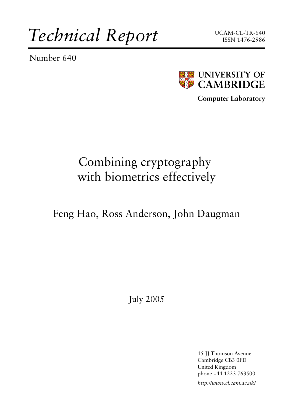*Technical Report*

Number 640





**Computer Laboratory**

# Combining cryptography with biometrics effectively

# Feng Hao, Ross Anderson, John Daugman

July 2005

15 JJ Thomson Avenue Cambridge CB3 0FD United Kingdom phone +44 1223 763500

*http://www.cl.cam.ac.uk/*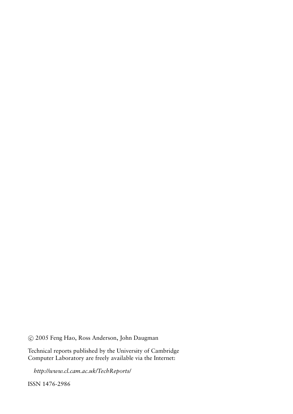c 2005 Feng Hao, Ross Anderson, John Daugman

Technical reports published by the University of Cambridge Computer Laboratory are freely available via the Internet:

*http://www.cl.cam.ac.uk/TechReports/*

ISSN 1476-2986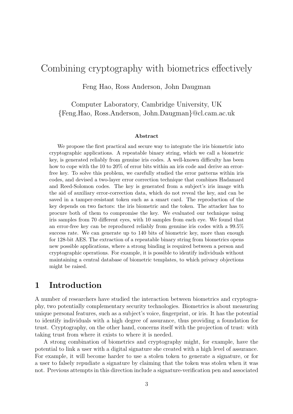# Combining cryptography with biometrics effectively

Feng Hao, Ross Anderson, John Daugman

Computer Laboratory, Cambridge University, UK {Feng.Hao, Ross.Anderson, John.Daugman}@cl.cam.ac.uk

#### Abstract

We propose the first practical and secure way to integrate the iris biometric into cryptographic applications. A repeatable binary string, which we call a biometric key, is generated reliably from genuine iris codes. A well-known difficulty has been how to cope with the 10 to 20% of error bits within an iris code and derive an errorfree key. To solve this problem, we carefully studied the error patterns within iris codes, and devised a two-layer error correction technique that combines Hadamard and Reed-Solomon codes. The key is generated from a subject's iris image with the aid of auxiliary error-correction data, which do not reveal the key, and can be saved in a tamper-resistant token such as a smart card. The reproduction of the key depends on two factors: the iris biometric and the token. The attacker has to procure both of them to compromise the key. We evaluated our technique using iris samples from 70 different eyes, with 10 samples from each eye. We found that an error-free key can be reproduced reliably from genuine iris codes with a 99.5% success rate. We can generate up to 140 bits of biometric key, more than enough for 128-bit AES. The extraction of a repeatable binary string from biometrics opens new possible applications, where a strong binding is required between a person and cryptographic operations. For example, it is possible to identify individuals without maintaining a central database of biometric templates, to which privacy objections might be raised.

## 1 Introduction

A number of researchers have studied the interaction between biometrics and cryptography, two potentially complementary security technologies. Biometrics is about measuring unique personal features, such as a subject's voice, fingerprint, or iris. It has the potential to identify individuals with a high degree of assurance, thus providing a foundation for trust. Cryptography, on the other hand, concerns itself with the projection of trust: with taking trust from where it exists to where it is needed.

A strong combination of biometrics and cryptography might, for example, have the potential to link a user with a digital signature she created with a high level of assurance. For example, it will become harder to use a stolen token to generate a signature, or for a user to falsely repudiate a signature by claiming that the token was stolen when it was not. Previous attempts in this direction include a signature-verification pen and associated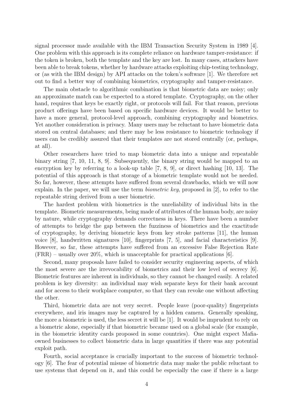signal processor made available with the IBM Transaction Security System in 1989 [4]. One problem with this approach is its complete reliance on hardware tamper-resistance: if the token is broken, both the template and the key are lost. In many cases, attackers have been able to break tokens, whether by hardware attacks exploiting chip-testing technology, or (as with the IBM design) by API attacks on the token's software [1]. We therefore set out to find a better way of combining biometrics, cryptography and tamper-resistance.

The main obstacle to algorithmic combination is that biometric data are noisy; only an approximate match can be expected to a stored template. Cryptography, on the other hand, requires that keys be exactly right, or protocols will fail. For that reason, previous product offerings have been based on specific hardware devices. It would be better to have a more general, protocol-level approach, combining cryptography and biometrics. Yet another consideration is privacy. Many users may be reluctant to have biometric data stored on central databases; and there may be less resistance to biometric technology if users can be credibly assured that their templates are not stored centrally (or, perhaps, at all).

Other researchers have tried to map biometric data into a unique and repeatable binary string [7, 10, 11, 8, 9]. Subsequently, the binary string would be mapped to an encryption key by referring to a look-up table [7, 8, 9], or direct hashing [10, 13]. The potential of this approach is that storage of a biometric template would not be needed. So far, however, these attempts have suffered from several drawbacks, which we will now explain. In the paper, we will use the term biometric key, proposed in [2], to refer to the repeatable string derived from a user biometric.

The hardest problem with biometrics is the unreliability of individual bits in the template. Biometric measurements, being made of attributes of the human body, are noisy by nature, while cryptography demands correctness in keys. There have been a number of attempts to bridge the gap between the fuzziness of biometrics and the exactitude of cryptography, by deriving biometric keys from key stroke patterns [11], the human voice [8], handwritten signatures [10], fingerprints [7, 5], and facial characteristics [9]. However, so far, these attempts have suffered from an excessive False Rejection Rate  $(FRR)$  – usually over 20%, which is unacceptable for practical applications [6].

Second, many proposals have failed to consider security engineering aspects, of which the most severe are the irrevocability of biometrics and their low level of secrecy [6]. Biometric features are inherent in individuals, so they cannot be changed easily. A related problem is key diversity: an individual may wish separate keys for their bank account and for access to their workplace computer, so that they can revoke one without affecting the other.

Third, biometric data are not very secret. People leave (poor-quality) fingerprints everywhere, and iris images may be captured by a hidden camera. Generally speaking, the more a biometric is used, the less secret it will be [1]. It would be imprudent to rely on a biometric alone, especially if that biometric became used on a global scale (for example, in the biometric identity cards proposed in some countries). One might expect Mafiaowned businesses to collect biometric data in large quantities if there was any potential exploit path.

Fourth, social acceptance is crucially important to the success of biometric technology [6]. The fear of potential misuse of biometric data may make the public reluctant to use systems that depend on it, and this could be especially the case if there is a large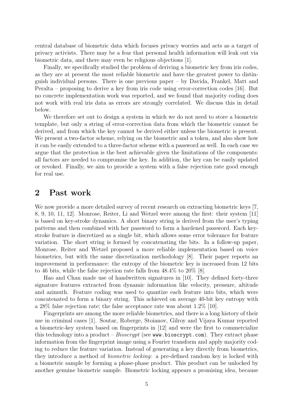central database of biometric data which focuses privacy worries and acts as a target of privacy activists. There may be a fear that personal health information will leak out via biometric data, and there may even be religious objections [1].

Finally, we specifically studied the problem of deriving a biometric key from iris codes, as they are at present the most reliable biometric and have the greatest power to distinguish individual persons. There is one previous paper – by Davida, Frankel, Matt and Peralta – proposing to derive a key from iris code using error-correction codes [16]. But no concrete implementation work was reported, and we found that majority coding does not work with real iris data as errors are strongly correlated. We discuss this in detail below.

We therefore set out to design a system in which we do not need to store a biometric template, but only a string of error-correction data from which the biometric cannot be derived, and from which the key cannot be derived either unless the biometric is present. We present a two-factor scheme, relying on the biometric and a token, and also show how it can be easily extended to a three-factor scheme with a password as well. In each case we argue that the protection is the best achievable given the limitations of the components: all factors are needed to compromise the key. In addition, the key can be easily updated or revoked. Finally, we aim to provide a system with a false rejection rate good enough for real use.

### 2 Past work

We now provide a more detailed survey of recent research on extracting biometric keys [7, 8, 9, 10, 11, 12]. Monrose, Reiter, Li and Wetzel were among the first: their system [11] is based on key-stroke dynamics. A short binary string is derived from the user's typing patterns and then combined with her password to form a hardened password. Each keystroke feature is discretized as a single bit, which allows some error tolerance for feature variation. The short string is formed by concatenating the bits. In a follow-up paper, Monrose, Reiter and Wetzel proposed a more reliable implementation based on voice biometrics, but with the same discretization methodology [8]. Their paper reports an improvement in performance: the entropy of the biometric key is increased from 12 bits to 46 bits, while the false rejection rate falls from 48.4% to 20% [8].

Hao and Chan made use of handwritten signatures in [10]. They defined forty-three signature features extracted from dynamic information like velocity, pressure, altitude and azimuth. Feature coding was used to quantize each feature into bits, which were concatenated to form a binary string. This achieved on average 40-bit key entropy with a 28% false rejection rate; the false acceptance rate was about 1.2% [10].

Fingerprints are among the more reliable biometrics, and there is a long history of their use in criminal cases [1]. Soutar, Roberge, Stoianov, Gilroy and Vijaya Kumar reported a biometric-key system based on fingerprints in [12] and were the first to commercialize this technology into a product – *Bioscrypt* (see www.bioscrypt.com). They extract phase information from the fingerprint image using a Fourier transform and apply majority coding to reduce the feature variation. Instead of generating a key directly from biometrics, they introduce a method of biometric locking: a pre-defined random key is locked with a biometric sample by forming a phase-phase product. This product can be unlocked by another genuine biometric sample. Biometric locking appears a promising idea, because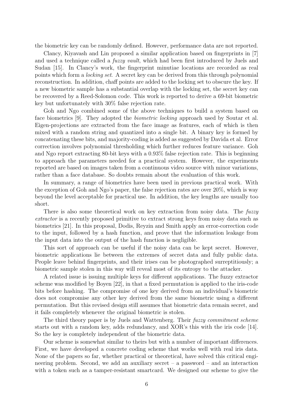the biometric key can be randomly defined. However, performance data are not reported.

Clancy, Kiyavash and Lin proposed a similar application based on fingerprints in [7] and used a technique called a *fuzzy vault*, which had been first introduced by Juels and Sudan [15]. In Clancy's work, the fingerprint minutiae locations are recorded as real points which form a locking set. A secret key can be derived from this through polynomial reconstruction. In addition, chaff points are added to the locking set to obscure the key. If a new biometric sample has a substantial overlap with the locking set, the secret key can be recovered by a Reed-Solomon code. This work is reported to derive a 69-bit biometric key but unfortunately with 30% false rejection rate.

Goh and Ngo combined some of the above techniques to build a system based on face biometrics [9]. They adopted the biometric locking approach used by Soutar et al. Eigen-projections are extracted from the face image as features, each of which is then mixed with a random string and quantized into a single bit. A binary key is formed by concatenating these bits, and majority-coding is added as suggested by Davida et al. Error correction involves polynomial thresholding which further reduces feature variance. Goh and Ngo report extracting 80-bit keys with a 0.93% false rejection rate. This is beginning to approach the parameters needed for a practical system. However, the experiments reported are based on images taken from a continuous video source with minor variations, rather than a face database. So doubts remain about the evaluation of this work.

In summary, a range of biometrics have been used in previous practical work. With the exception of Goh and Ngo's paper, the false rejection rates are over 20%, which is way beyond the level acceptable for practical use. In addition, the key lengths are usually too short.

There is also some theoretical work on key extraction from noisy data. The fuzzy extractor is a recently proposed primitive to extract strong keys from noisy data such as biometrics [21]. In this proposal, Dodis, Reyzin and Smith apply an error-correction code to the input, followed by a hash function, and prove that the information leakage from the input data into the output of the hash function is negligible.

This sort of approach can be useful if the noisy data can be kept secret. However, biometric applications lie between the extremes of secret data and fully public data. People leave behind fingerprints, and their irises can be photographed surreptitiously; a biometric sample stolen in this way will reveal most of its entropy to the attacker.

A related issue is issuing multiple keys for different applications. The fuzzy extractor scheme was modified by Boyen [22], in that a fixed permutation is applied to the iris-code bits before hashing. The compromise of one key derived from an individual's biometric does not compromise any other key derived from the same biometric using a different permutation. But this revised design still assumes that biometric data remain secret, and it fails completely whenever the original biometric is stolen.

The third theory paper is by Juels and Wattenberg. Their fuzzy commitment scheme starts out with a random key, adds redundancy, and XOR's this with the iris code [14]. So the key is completely independent of the biometric data.

Our scheme is somewhat similar to theirs but with a number of important differences. First, we have developed a concrete coding scheme that works well with real iris data. None of the papers so far, whether practical or theoretical, have solved this critical engineering problem. Second, we add an auxiliary secret – a password – and an interaction with a token such as a tamper-resistant smartcard. We designed our scheme to give the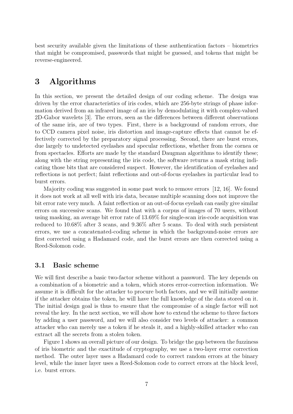best security available given the limitations of these authentication factors – biometrics that might be compromised, passwords that might be guessed, and tokens that might be reverse-engineered.

# 3 Algorithms

In this section, we present the detailed design of our coding scheme. The design was driven by the error characteristics of iris codes, which are 256-byte strings of phase information derived from an infrared image of an iris by demodulating it with complex-valued 2D-Gabor wavelets [3]. The errors, seen as the differences between different observations of the same iris, are of two types. First, there is a background of random errors, due to CCD camera pixel noise, iris distortion and image-capture effects that cannot be effectively corrected by the preparatory signal processing. Second, there are burst errors, due largely to undetected eyelashes and specular reflections, whether from the cornea or from spectacles. Efforts are made by the standard Daugman algorithms to identify these; along with the string representing the iris code, the software returns a mask string indicating those bits that are considered suspect. However, the identification of eyelashes and reflections is not perfect; faint reflections and out-of-focus eyelashes in particular lead to burst errors.

Majority coding was suggested in some past work to remove errors [12, 16]. We found it does not work at all well with iris data, because multiple scanning does not improve the bit error rate very much. A faint reflection or an out-of-focus eyelash can easily give similar errors on successive scans. We found that with a corpus of images of 70 users, without using masking, an average bit error rate of 13.69% for single-scan iris-code acquisition was reduced to 10.68% after 3 scans, and 9.36% after 5 scans. To deal with such persistent errors, we use a concatenated-coding scheme in which the background-noise errors are first corrected using a Hadamard code, and the burst errors are then corrected using a Reed-Solomon code.

#### 3.1 Basic scheme

We will first describe a basic two-factor scheme without a password. The key depends on a combination of a biometric and a token, which stores error-correction information. We assume it is difficult for the attacker to procure both factors, and we will initially assume if the attacker obtains the token, he will have the full knowledge of the data stored on it. The initial design goal is thus to ensure that the compromise of a single factor will not reveal the key. In the next section, we will show how to extend the scheme to three factors by adding a user password, and we will also consider two levels of attacker: a common attacker who can merely use a token if he steals it, and a highly-skilled attacker who can extract all the secrets from a stolen token.

Figure 1 shows an overall picture of our design. To bridge the gap between the fuzziness of iris biometric and the exactitude of cryptography, we use a two-layer error correction method. The outer layer uses a Hadamard code to correct random errors at the binary level, while the inner layer uses a Reed-Solomon code to correct errors at the block level, i.e. burst errors.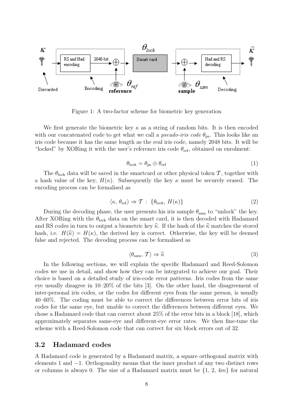

Figure 1: A two-factor scheme for biometric key generation

We first generate the biometric key  $\kappa$  as a string of random bits. It is then encoded with our concatenated code to get what we call a *pseudo-iris code*  $\theta_{\text{ps}}$ . This looks like an iris code because it has the same length as the real iris code, namely 2048 bits. It will be "locked" by XORing it with the user's reference iris code  $\theta_{\text{ref}}$ , obtained on enrolment:

$$
\theta_{\text{lock}} = \theta_{\text{ps}} \oplus \theta_{\text{ref}} \tag{1}
$$

The  $\theta_{\rm lock}$  data will be saved in the smartcard or other physical token T, together with a hash value of the key,  $H(\kappa)$ . Subsequently the key  $\kappa$  must be securely erased. The encoding process can be formalised as

$$
\langle \kappa, \theta_{\text{ref}} \rangle \Rightarrow \mathcal{T} : \{ \theta_{\text{lock}}, H(\kappa) \} \tag{2}
$$

During the decoding phase, the user presents his iris sample  $\theta_{\text{sam}}$  to "unlock" the key. After XORing with the  $\theta_{\rm lock}$  data on the smart card, it is then decoded with Hadamard and RS codes in turn to output a biometric key  $\hat{\kappa}$ . If the hash of the  $\hat{\kappa}$  matches the stored hash, i.e.  $H(\hat{\kappa}) = H(\kappa)$ , the derived key is correct. Otherwise, the key will be deemed false and rejected. The decoding process can be formalised as

$$
\langle \theta_{\text{sam}}, \mathcal{T} \rangle \Rightarrow \widehat{\kappa} \tag{3}
$$

In the following sections, we will explain the specific Hadamard and Reed-Solomon codes we use in detail, and show how they can be integrated to achieve our goal. Their choice is based on a detailed study of iris-code error patterns. Iris codes from the same eye usually disagree in 10–20% of the bits [3]. On the other hand, the disagreement of inter-personal iris codes, or the codes for different eyes from the same person, is usually 40–60%. The coding must be able to correct the differences between error bits of iris codes for the same eye, but unable to correct the differences between different eyes. We chose a Hadamard code that can correct about 25% of the error bits in a block [18], which approximately separates same-eye and different-eye error rates. We then fine-tune the scheme with a Reed-Solomon code that can correct for six block errors out of 32.

#### 3.2 Hadamard codes

A Hadamard code is generated by a Hadamard matrix, a square orthogonal matrix with elements 1 and −1. Orthogonality means that the inner product of any two distinct rows or columns is always 0. The size of a Hadamard matrix must be  $\{1, 2, 4m\}$  for natural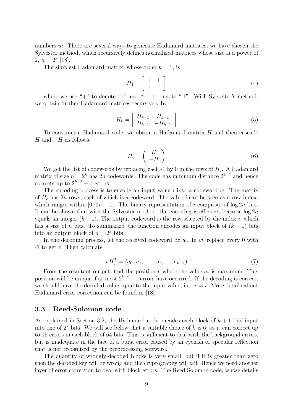numbers m. There are several ways to generate Hadamard matrices; we have chosen the Sylvester method, which recursively defines normalized matrices whose size is a power of  $2, n = 2^k$  [18].

The simplest Hadamard matrix, whose order  $k = 1$ , is

$$
H_1 = \left[ \begin{array}{cc} + & + \\ + & - \end{array} \right] \tag{4}
$$

where we use "+" to denote "1" and "−" to denote "-1". With Sylvester's method, we obtain further Hadamard matrices recursively by:

$$
H_k = \begin{bmatrix} H_{k-1} & H_{k-1} \\ H_{k-1} & -H_{k-1} \end{bmatrix}
$$
 (5)

To construct a Hadamard code, we obtain a Hadamard matrix  $H$  and then cascade H and  $-H$  as follows:

$$
H_{\rm c} = \left(\begin{array}{c} H \\ -H \end{array}\right) \tag{6}
$$

We get the list of codewords by replacing each -1 by 0 in the rows of  $H_c$ . A Hadamard matrix of size  $n = 2^k$  has 2n codewords. The code has minimum distance  $2^{k-1}$  and hence corrects up to  $2^{k-2} - 1$  errors.

The encoding process is to encode an input value  $i$  into a codeword  $w$ . The matrix of  $H_c$  has 2n rows, each of which is a codeword. The value i can be seen as a row index, which ranges within [0, 2n – 1]. The binary representation of i comprises of  $\log 2n$  bits. It can be shown that with the Sylvester method, the encoding is efficient, because  $\log 2n$ equals an integer  $(k+1)$ . The output codeword is the row selected by the index i, which has a size of n bits. To summarize, the function encodes an input block of  $(k + 1)$  bits into an output block of  $n = 2^k$  bits.

In the decoding process, let the received codeword be w. In  $w$ , replace every 0 with -1 to get v. Then calculate

$$
vH_c^T = (a_0, a_1, \dots, a_r, \dots a_{n-1})
$$
\n(7)

From the resultant output, find the position r where the value  $a_r$  is maximum. This position will be unique if at most  $2^{k-2} - 1$  errors have occurred. If the decoding is correct, we should have the decoded value equal to the input value, i.e.,  $r = i$ . More details about Hadamard error correction can be found in [18].

#### 3.3 Reed-Solomon code

As explained in Section 3.2, the Hadamard code encodes each block of  $k + 1$  bits input into one of  $2^k$  bits. We will see below that a suitable choice of k is 6; so it can correct up to 15 errors in each block of 64 bits. This is sufficient to deal with the background errors, but is inadequate in the face of a burst error caused by an eyelash or specular reflection that is not recognised by the preprocessing software.

The quantity of wrongly-decoded blocks is very small, but if it is greater than zero then the decoded key will be wrong and the cryptography will fail. Hence we need another layer of error correction to deal with block errors. The Reed-Solomon code, whose details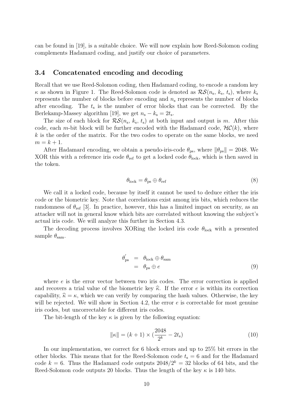can be found in [19], is a suitable choice. We will now explain how Reed-Solomon coding complements Hadamard coding, and justify our choice of parameters.

#### 3.4 Concatenated encoding and decoding

Recall that we use Reed-Solomon coding, then Hadamard coding, to encode a random key  $\kappa$  as shown in Figure 1. The Reed-Solomon code is denoted as  $\mathcal{RS}(n_{\rm s}, k_{\rm s}, t_{\rm s})$ , where  $k_{\rm s}$ represents the number of blocks before encoding and  $n<sub>s</sub>$  represents the number of blocks after encoding. The  $t_s$  is the number of error blocks that can be corrected. By the Berlekamp-Massey algorithm [19], we get  $n_s - k_s = 2t_s$ .

The size of each block for  $\mathcal{RS}(n_{\rm s}, k_{\rm s}, t_{\rm s})$  at both input and output is m. After this code, each m-bit block will be further encoded with the Hadamard code,  $\mathcal{HC}(k)$ , where  $k$  is the order of the matrix. For the two codes to operate on the same blocks, we need  $m = k + 1.$ 

After Hadamard encoding, we obtain a pseudo-iris-code  $\theta_{\text{ps}}$ , where  $\|\theta_{\text{ps}}\| = 2048$ . We XOR this with a reference iris code  $\theta_{ref}$  to get a locked code  $\theta_{lock}$ , which is then saved in the token.

$$
\theta_{\text{lock}} = \theta_{\text{ps}} \oplus \theta_{\text{ref}} \tag{8}
$$

We call it a locked code, because by itself it cannot be used to deduce either the iris code or the biometric key. Note that correlations exist among iris bits, which reduces the randomness of  $\theta_{\text{ref}}$  [3]. In practice, however, this has a limited impact on security, as an attacker will not in general know which bits are correlated without knowing the subject's actual iris code. We will analyze this further in Section 4.3.

The decoding process involves XORing the locked iris code  $\theta_{\rm lock}$  with a presented sample  $\theta_{\text{sam}}$ .

$$
\begin{array}{rcl}\n\theta'_{\text{ps}} & = & \theta_{\text{lock}} \oplus \theta_{\text{sam}} \\
& = & \theta_{\text{ps}} \oplus e\n\end{array} \tag{9}
$$

where e is the error vector between two iris codes. The error correction is applied and recovers a trial value of the biometric key  $\hat{\kappa}$ . If the error e is within its correction capability,  $\hat{\kappa} = \kappa$ , which we can verify by comparing the hash values. Otherwise, the key will be rejected. We will show in Section 4.2, the error  $e$  is correctable for most genuine iris codes, but uncorrectable for different iris codes.

The bit-length of the key  $\kappa$  is given by the following equation:

$$
\|\kappa\| = (k+1) \times \left(\frac{2048}{2^k} - 2t_s\right) \tag{10}
$$

In our implementation, we correct for 6 block errors and up to 25% bit errors in the other blocks. This means that for the Reed-Solomon code  $t_s = 6$  and for the Hadamard code  $k = 6$ . Thus the Hadamard code outputs  $2048/2^k = 32$  blocks of 64 bits, and the Reed-Solomon code outputs 20 blocks. Thus the length of the key  $\kappa$  is 140 bits.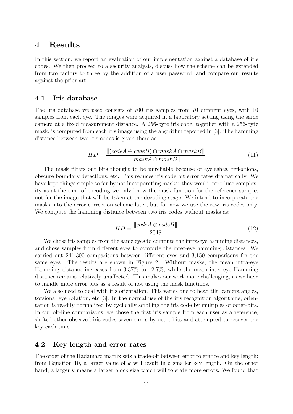## 4 Results

In this section, we report an evaluation of our implementation against a database of iris codes. We then proceed to a security analysis, discuss how the scheme can be extended from two factors to three by the addition of a user password, and compare our results against the prior art.

#### 4.1 Iris database

The iris database we used consists of 700 iris samples from 70 different eyes, with 10 samples from each eye. The images were acquired in a laboratory setting using the same camera at a fixed measurement distance. A 256-byte iris code, together with a 256-byte mask, is computed from each iris image using the algorithm reported in [3]. The hamming distance between two iris codes is given there as:

$$
HD = \frac{\|(\text{codeA} \oplus \text{codeB}) \cap \text{mask}A \cap \text{mask}B\|}{\|\text{mask}A \cap \text{mask}B\|}
$$
(11)

The mask filters out bits thought to be unreliable because of eyelashes, reflections, obscure boundary detections, etc. This reduces iris code bit error rates dramatically. We have kept things simple so far by not incorporating masks: they would introduce complexity as at the time of encoding we only know the mask function for the reference sample, not for the image that will be taken at the decoding stage. We intend to incorporate the masks into the error correction scheme later, but for now we use the raw iris codes only. We compute the hamming distance between two iris codes without masks as:

$$
HD = \frac{\|codeA \oplus codeB\|}{2048} \tag{12}
$$

We chose iris samples from the same eyes to compute the intra-eye hamming distances, and chose samples from different eyes to compute the inter-eye hamming distances. We carried out 241,300 comparisons between different eyes and 3,150 comparisons for the same eyes. The results are shown in Figure 2. Without masks, the mean intra-eye Hamming distance increases from 3.37% to 12.7%, while the mean inter-eye Hamming distance remains relatively unaffected. This makes our work more challenging, as we have to handle more error bits as a result of not using the mask functions.

We also need to deal with iris orientation. This varies due to head tilt, camera angles, torsional eye rotation, etc [3]. In the normal use of the iris recognition algorithms, orientation is readily normalized by cyclically scrolling the iris code by multiples of octet-bits. In our off-line comparisons, we chose the first iris sample from each user as a reference, shifted other observed iris codes seven times by octet-bits and attempted to recover the key each time.

#### 4.2 Key length and error rates

The order of the Hadamard matrix sets a trade-off between error tolerance and key length: from Equation 10, a larger value of k will result in a smaller key length. On the other hand, a larger k means a larger block size which will tolerate more errors. We found that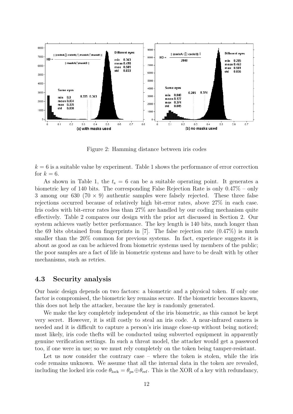

Figure 2: Hamming distance between iris codes

 $k = 6$  is a suitable value by experiment. Table 1 shows the performance of error correction for  $k = 6$ .

As shown in Table 1, the  $t_s = 6$  can be a suitable operating point. It generates a biometric key of 140 bits. The corresponding False Rejection Rate is only 0.47% – only 3 among our 630 (70  $\times$  9) authentic samples were falsely rejected. These three false rejections occurred because of relatively high bit-error rates, above 27% in each case. Iris codes with bit-error rates less than 27% are handled by our coding mechanism quite effectively. Table 2 compares our design with the prior art discussed in Section 2. Our system achieves vastly better performance. The key length is 140 bits, much longer than the 69 bits obtained from fingerprints in [7]. The false rejection rate  $(0.47\%)$  is much smaller than the 20% common for previous systems. In fact, experience suggests it is about as good as can be achieved from biometric systems used by members of the public; the poor samples are a fact of life in biometric systems and have to be dealt with by other mechanisms, such as retries.

#### 4.3 Security analysis

Our basic design depends on two factors: a biometric and a physical token. If only one factor is compromised, the biometric key remains secure. If the biometric becomes known, this does not help the attacker, because the key is randomly generated.

We make the key completely independent of the iris biometric, as this cannot be kept very secret. However, it is still costly to steal an iris code. A near-infrared camera is needed and it is difficult to capture a person's iris image close-up without being noticed; most likely, iris code thefts will be conducted using subverted equipment in apparently genuine verification settings. In such a threat model, the attacker would get a password too, if one were in use; so we must rely completely on the token being tamper-resistant.

Let us now consider the contrary case – where the token is stolen, while the iris code remains unknown. We assume that all the internal data in the token are revealed, including the locked iris code  $\theta_{\rm lock} = \theta_{\rm ps} \oplus \theta_{\rm ref}$ . This is the XOR of a key with redundancy,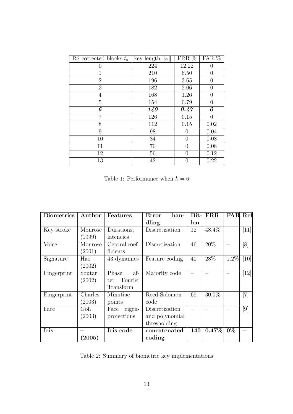| RS corrected blocks $t_s$ | key length $\ \kappa\ $ | FRR $\overline{\%}$ | FAR $%$       |
|---------------------------|-------------------------|---------------------|---------------|
|                           | 224                     | 12.22               | $\mathbf{0}$  |
| 1                         | 210                     | 6.50                | 0             |
| $\overline{2}$            | 196                     | 3.65                | $\mathcal{O}$ |
| 3                         | 182                     | 2.06                | 0             |
| 4                         | 168                     | 1.26                | 0             |
| 5                         | 154                     | 0.79                | $\Omega$      |
| 6                         | 140                     | 0.47                | N             |
| 7                         | 126                     | 0.15                |               |
| 8                         | 112                     | 0.15                | 0.02          |
| 9                         | 98                      | $\left( \right)$    | 0.04          |
| 10                        | 84                      | $\left( \right)$    | 0.08          |
| 11                        | 70                      | $\mathbf{0}$        | 0.08          |
| 12                        | 56                      |                     | 0.12          |
| 13                        | 42                      |                     | 0.22          |

Table 1: Performance when  $k = 6$ 

| <b>Biometrics</b> | Author               | <b>Features</b> | Error<br>han-  | Bit- | <b>FRR</b> | FAR Ref |                    |
|-------------------|----------------------|-----------------|----------------|------|------------|---------|--------------------|
|                   |                      |                 | dling          | len  |            |         |                    |
| Key stroke        | Monrose              | Durations,      | Discretization | 12   | 48.4%      |         | $[11]$             |
|                   | (1999)               | latencies       |                |      |            |         |                    |
| Voice             | Monrose              | Ceptral coef-   | Discretization | 46   | 20\%       |         | [8]                |
|                   | (2001)               | ficients        |                |      |            |         |                    |
| Signature         | Hao                  | 43 dynamics     | Feature coding | 40   | 28\%       | 1.2%    | $\lceil 10 \rceil$ |
|                   | (2002)               |                 |                |      |            |         |                    |
| Fingerprint       | Soutar               | af-<br>Phase    | Majority code  |      |            |         | $\left[12\right]$  |
|                   | (2002)               | Fourier<br>ter  |                |      |            |         |                    |
|                   |                      | Transform       |                |      |            |         |                    |
| Fingerprint       | Charles              | Minutiae        | Reed-Solomon   | 69   | $30.0\%$   |         | $\lceil 7 \rceil$  |
|                   | (2003)               | points          | code           |      |            |         |                    |
| Face              | Goh                  | eigen-<br>Face  | Discretization |      |            |         | $[9]$              |
|                   | (2003)               | projections     | and polynomial |      |            |         |                    |
|                   |                      |                 | thresholding   |      |            |         |                    |
| Iris              |                      | Iris code       | concatenated   | 140  | $0.47\%$   | $0\%$   |                    |
|                   | $\left( 2005\right)$ |                 | coding         |      |            |         |                    |

Table 2: Summary of biometric key implementations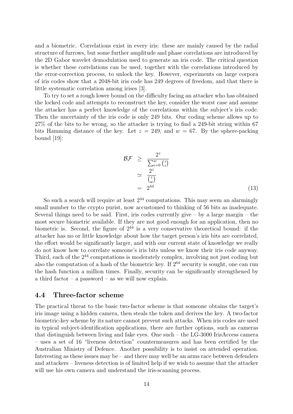and a biometric. Correlations exist in every iris: these are mainly caused by the radial structure of furrows, but some further amplitude and phase correlations are introduced by the 2D Gabor wavelet demodulation used to generate an iris code. The critical question is whether these correlations can be used, together with the correlations introduced by the error-correction process, to unlock the key. However, experiments on large corpora of iris codes show that a 2048-bit iris code has 249 degrees of freedom, and that there is little systematic correlation among irises [3].

To try to set a rough lower bound on the difficulty facing an attacker who has obtained the locked code and attempts to reconstruct the key, consider the worst case and assume the attacker has a perfect knowledge of the correlations within the subject's iris code. Then the uncertainty of the iris code is only 249 bits. Our coding scheme allows up to 27% of the bits to be wrong, so the attacker is trying to find a 249-bit string within 67 bits Hamming distance of the key. Let  $z = 249$ , and  $w = 67$ . By the sphere-packing bound [19]:

$$
\mathcal{BF} \geq \frac{2^z}{\sum_{i=0}^w {z \choose i}}
$$
  
\n
$$
\approx \frac{2^z}{\binom{z}{w}}
$$
  
\n
$$
= 2^{44}
$$
 (13)

So such a search will require at least  $2^{44}$  computations. This may seem an alarmingly small number to the crypto purist, now accustomed to thinking of 56 bits as inadequate. Several things need to be said. First, iris codes currently give  $-$  by a large margin  $-$  the most secure biometric available. If they are not good enough for an application, then no biometric is. Second, the figure of  $2^{44}$  is a very conservative theoretical bound: if the attacker has no or little knowledge about how the target person's iris bits are correlated, the effort would be significantly larger, and with our current state of knowledge we really do not know how to correlate someone's iris bits unless we know their iris code anyway. Third, each of the  $2^{44}$  computations is moderately complex, involving not just coding but also the computation of a hash of the biometric key. If  $2^{64}$  security is sought, one can run the hash function a million times. Finally, security can be significantly strengthened by a third factor – a password – as we will now explain.

#### 4.4 Three-factor scheme

The practical threat to the basic two-factor scheme is that someone obtains the target's iris image using a hidden camera, then steals the token and derives the key. A two-factor biometric-key scheme by its nature cannot prevent such attacks. When iris codes are used in typical subject-identification applications, there are further options, such as cameras that distinguish between living and fake eyes. One such – the LG-3000 IrisAccess camera – uses a set of 16 "liveness detection" countermeasures and has been certified by the Australian Ministry of Defence. Another possibility is to insist on attended operation. Interesting as these issues may be – and there may well be an arms race between defenders and attackers – liveness detection is of limited help if we wish to assume that the attacker will use his own camera and understand the iris-scanning process.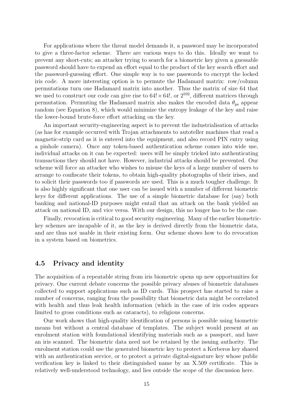For applications where the threat model demands it, a password may be incorporated to give a three-factor scheme. There are various ways to do this. Ideally we want to prevent any short-cuts; an attacker trying to search for a biometric key given a guessable password should have to expend an effort equal to the product of the key search effort and the password-guessing effort. One simple way is to use passwords to encrypt the locked iris code. A more interesting option is to permute the Hadamard matrix: row/column permutations turn one Hadamard matrix into another. Thus the matrix of size 64 that we used to construct our code can give rise to  $64! \times 64!$ , or  $2^{592}$ , different matrices through permutation. Permuting the Hadamard matrix also makes the encoded data  $\theta_{\text{ps}}$  appear random (see Equation 8), which would minimize the entropy leakage of the key and raise the lower-bound brute-force effort attacking on the key.

An important security-engineering aspect is to prevent the industrialisation of attacks (as has for example occurred with Trojan attachments to autoteller machines that read a magnetic-strip card as it is entered into the equipment, and also record PIN entry using a pinhole camera). Once any token-based authentication scheme comes into wide use, individual attacks on it can be expected: users will be simply tricked into authenticating transactions they should not have. However, industrial attacks should be prevented. Our scheme will force an attacker who wishes to misuse the keys of a large number of users to arrange to confiscate their tokens, to obtain high-quality photographs of their irises, and to solicit their passwords too if passwords are used. This is a much tougher challenge. It is also highly significant that one user can be issued with a number of different biometric keys for different applications. The use of a simple biometric database for (say) both banking and national-ID purposes might entail that an attack on the bank yielded an attack on national ID, and vice versa. With our design, this no longer has to be the case.

Finally, revocation is critical to good security engineering. Many of the earlier biometrickey schemes are incapable of it, as the key is derived directly from the biometric data, and are thus not usable in their existing form. Our scheme shows how to do revocation in a system based on biometrics.

#### 4.5 Privacy and identity

The acquisition of a repeatable string from iris biometric opens up new opportunities for privacy. One current debate concerns the possible privacy abuses of biometric databases collected to support applications such as ID cards. This prospect has started to raise a number of concerns, ranging from the possibility that biometric data might be correlated with health and thus leak health information (which in the case of iris codes appears limited to gross conditions such as cataracts), to religious concerns.

Our work shows that high-quality identification of persons is possible using biometric means but without a central database of templates. The subject would present at an enrolment station with foundational identifying materials such as a passport, and have an iris scanned. The biometric data need not be retained by the issuing authority. The enrolment station could use the generated biometric key to protect a Kerberos key shared with an authentication service, or to protect a private digital-signature key whose public verification key is linked to their distinguished name by an X.509 certificate. This is relatively well-understood technology, and lies outside the scope of the discussion here.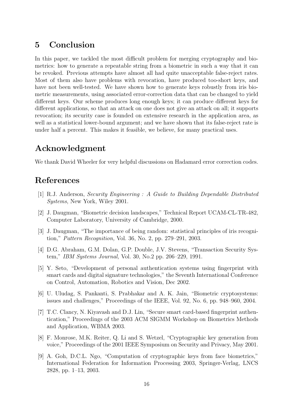# 5 Conclusion

In this paper, we tackled the most difficult problem for merging cryptography and biometrics: how to generate a repeatable string from a biometric in such a way that it can be revoked. Previous attempts have almost all had quite unacceptable false-reject rates. Most of them also have problems with revocation, have produced too-short keys, and have not been well-tested. We have shown how to generate keys robustly from iris biometric measurements, using associated error-correction data that can be changed to yield different keys. Our scheme produces long enough keys; it can produce different keys for different applications, so that an attack on one does not give an attack on all; it supports revocation; its security case is founded on extensive research in the application area, as well as a statistical lower-bound argument; and we have shown that its false-reject rate is under half a percent. This makes it feasible, we believe, for many practical uses.

# Acknowledgment

We thank David Wheeler for very helpful discussions on Hadamard error correction codes.

# References

- [1] R.J. Anderson, Security Engineering : A Guide to Building Dependable Distributed Systems, New York, Wiley 2001.
- [2] J. Daugman, "Biometric decision landscapes," Technical Report UCAM-CL-TR-482, Computer Laboratory, University of Cambridge, 2000.
- [3] J. Daugman, "The importance of being random: statistical principles of iris recognition," Pattern Recognition, Vol. 36, No. 2, pp. 279–291, 2003.
- [4] D.G. Abraham, G.M. Dolan, G.P. Double, J.V. Stevens, "Transaction Security System," IBM Systems Journal, Vol. 30, No.2 pp. 206–229, 1991.
- [5] Y. Seto, "Development of personal authentication systems using fingerprint with smart cards and digital signature technologies," the Seventh International Conference on Control, Automation, Robotics and Vision, Dec 2002.
- [6] U. Uludag, S. Pankanti, S. Prabhakar and A. K. Jain, "Biometric cryptosystems: issues and challenges," Proceedings of the IEEE, Vol. 92, No. 6, pp. 948–960, 2004.
- [7] T.C. Clancy, N. Kiyavash and D.J. Lin, "Secure smart card-based fingerprint authentication," Proceedings of the 2003 ACM SIGMM Workshop on Biometrics Methods and Application, WBMA 2003.
- [8] F. Monrose, M.K. Reiter, Q. Li and S. Wetzel, "Cryptographic key generation from voice," Proceedings of the 2001 IEEE Symposium on Security and Privacy, May 2001.
- [9] A. Goh, D.C.L. Ngo, "Computation of cryptographic keys from face biometrics," International Federation for Information Processing 2003, Springer-Verlag, LNCS 2828, pp. 1–13, 2003.